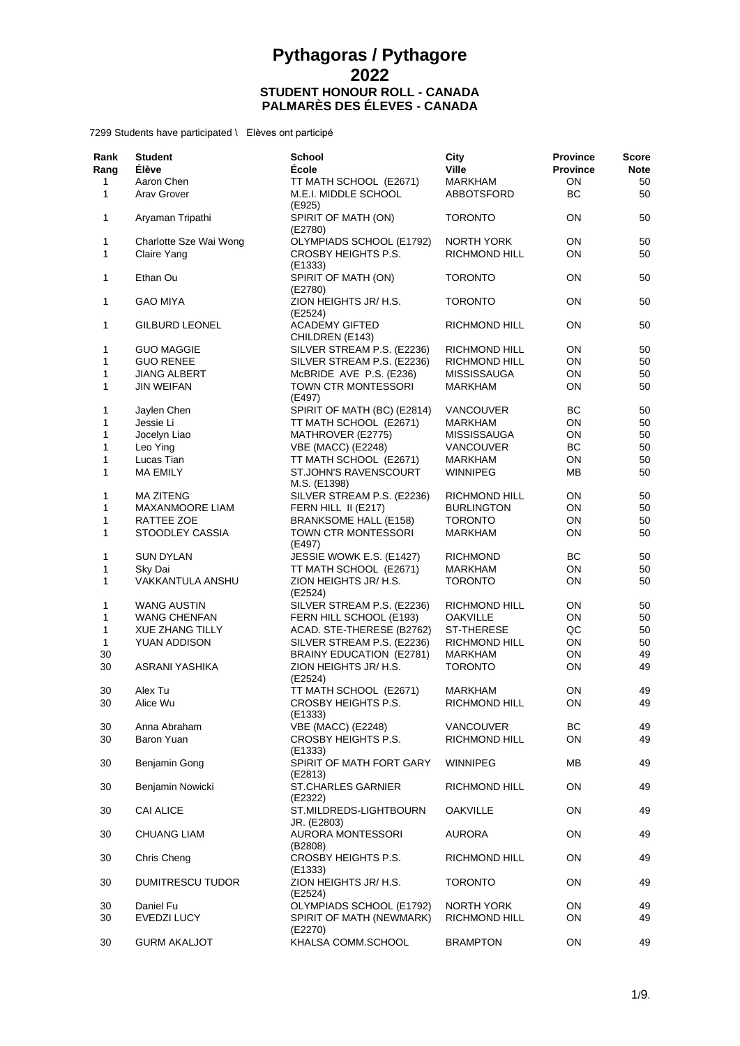| Rank<br>Rang | <b>Student</b><br><b>Élève</b> | <b>School</b><br><b>École</b>                  | City<br><b>Ville</b>         | <b>Province</b><br><b>Province</b> | Score<br><b>Note</b> |
|--------------|--------------------------------|------------------------------------------------|------------------------------|------------------------------------|----------------------|
| 1<br>1       | Aaron Chen<br>Arav Grover      | TT MATH SCHOOL (E2671)<br>M.E.I. MIDDLE SCHOOL | <b>MARKHAM</b><br>ABBOTSFORD | ON<br>BC                           | 50<br>50             |
| 1            | Aryaman Tripathi               | (E925)<br>SPIRIT OF MATH (ON)<br>(E2780)       | <b>TORONTO</b>               | ON                                 | 50                   |
| 1            | Charlotte Sze Wai Wong         | OLYMPIADS SCHOOL (E1792)                       | <b>NORTH YORK</b>            | ON                                 | 50                   |
| 1            | Claire Yang                    | CROSBY HEIGHTS P.S.<br>(E1333)                 | <b>RICHMOND HILL</b>         | ON                                 | 50                   |
| 1            | Ethan Ou                       | SPIRIT OF MATH (ON)<br>(E2780)                 | <b>TORONTO</b>               | ON                                 | 50                   |
| 1            | <b>GAO MIYA</b>                | ZION HEIGHTS JR/ H.S.<br>(E2524)               | <b>TORONTO</b>               | ON                                 | 50                   |
| 1            | <b>GILBURD LEONEL</b>          | <b>ACADEMY GIFTED</b><br>CHILDREN (E143)       | <b>RICHMOND HILL</b>         | <b>ON</b>                          | 50                   |
| 1            | <b>GUO MAGGIE</b>              | SILVER STREAM P.S. (E2236)                     | RICHMOND HILL                | ON                                 | 50                   |
| 1            | <b>GUO RENEE</b>               | SILVER STREAM P.S. (E2236)                     | RICHMOND HILL                | ON                                 | 50                   |
| 1            | <b>JIANG ALBERT</b>            | McBRIDE AVE P.S. (E236)                        | <b>MISSISSAUGA</b>           | ON                                 | 50                   |
| 1            | JIN WEIFAN                     | TOWN CTR MONTESSORI<br>(E497)                  | MARKHAM                      | <b>ON</b>                          | 50                   |
| 1            | Jaylen Chen                    | SPIRIT OF MATH (BC) (E2814)                    | <b>VANCOUVER</b>             | BС                                 | 50                   |
| 1            | Jessie Li                      | TT MATH SCHOOL (E2671)                         | MARKHAM                      | ON                                 | 50                   |
| 1            | Jocelyn Liao                   | MATHROVER (E2775)                              | <b>MISSISSAUGA</b>           | ON                                 | 50                   |
| 1            | Leo Ying                       | VBE (MACC) (E2248)                             | <b>VANCOUVER</b>             | BС                                 | 50                   |
| $\mathbf{1}$ | Lucas Tian                     | TT MATH SCHOOL (E2671)                         | MARKHAM                      | ON                                 | 50                   |
| 1            | <b>MA EMILY</b>                | ST.JOHN'S RAVENSCOURT<br>M.S. (E1398)          | <b>WINNIPEG</b>              | ΜВ                                 | 50                   |
| 1            | <b>MA ZITENG</b>               | SILVER STREAM P.S. (E2236)                     | RICHMOND HILL                | ON                                 | 50                   |
| 1            | <b>MAXANMOORE LIAM</b>         | FERN HILL II (E217)                            | <b>BURLINGTON</b>            | ON                                 | 50                   |
| 1            | RATTEE ZOE                     | <b>BRANKSOME HALL (E158)</b>                   | <b>TORONTO</b>               | ON                                 | 50                   |
| 1            | STOODLEY CASSIA                | TOWN CTR MONTESSORI<br>(E497)                  | <b>MARKHAM</b>               | ON                                 | 50                   |
| 1            | <b>SUN DYLAN</b>               | JESSIE WOWK E.S. (E1427)                       | <b>RICHMOND</b>              | BС                                 | 50                   |
| 1            | Sky Dai                        | TT MATH SCHOOL (E2671)                         | MARKHAM                      | ON                                 | 50                   |
| 1            | VAKKANTULA ANSHU               | ZION HEIGHTS JR/ H.S.<br>(E2524)               | <b>TORONTO</b>               | ON                                 | 50                   |
| 1            | <b>WANG AUSTIN</b>             | SILVER STREAM P.S. (E2236)                     | RICHMOND HILL                | ON                                 | 50                   |
| 1            | WANG CHENFAN                   | FERN HILL SCHOOL (E193)                        | <b>OAKVILLE</b>              | ON                                 | 50                   |
| 1            | XUE ZHANG TILLY                | ACAD. STE-THERESE (B2762)                      | ST-THERESE                   | QC                                 | 50                   |
| 1            | YUAN ADDISON                   | SILVER STREAM P.S. (E2236)                     | RICHMOND HILL                | ON                                 | 50                   |
| 30           |                                | BRAINY EDUCATION (E2781)                       | MARKHAM                      | ON                                 | 49                   |
| 30           | ASRANI YASHIKA                 | ZION HEIGHTS JR/ H.S.<br>(E2524)               | <b>TORONTO</b>               | ON                                 | 49                   |
| 30           | Alex Tu                        | TT MATH SCHOOL (E2671)                         | MARKHAM                      | <b>ON</b>                          | 49                   |
| 30           | Alice Wu                       | CROSBY HEIGHTS P.S.<br>(E1333)                 | RICHMOND HILL                | ON                                 | 49                   |
| 30           | Anna Abraham                   | <b>VBE (MACC) (E2248)</b>                      | <b>VANCOUVER</b>             | BC                                 | 49                   |
| 30           | Baron Yuan                     | CROSBY HEIGHTS P.S.<br>(E1333)                 | RICHMOND HILL                | ON                                 | 49                   |
| 30           | Benjamin Gong                  | SPIRIT OF MATH FORT GARY<br>(E2813)            | <b>WINNIPEG</b>              | ΜВ                                 | 49                   |
| 30           | Benjamin Nowicki               | <b>ST.CHARLES GARNIER</b><br>(E2322)           | RICHMOND HILL                | ON                                 | 49                   |
| 30           | <b>CAI ALICE</b>               | ST.MILDREDS-LIGHTBOURN<br>JR. (E2803)          | <b>OAKVILLE</b>              | ON                                 | 49                   |
| 30           | <b>CHUANG LIAM</b>             | <b>AURORA MONTESSORI</b><br>(B2808)            | <b>AURORA</b>                | ON                                 | 49                   |
| 30           | Chris Cheng                    | CROSBY HEIGHTS P.S.<br>(E1333)                 | RICHMOND HILL                | ON                                 | 49                   |
| 30           | <b>DUMITRESCU TUDOR</b>        | ZION HEIGHTS JR/ H.S.<br>(E2524)               | <b>TORONTO</b>               | ON                                 | 49                   |
| 30           | Daniel Fu                      | OLYMPIADS SCHOOL (E1792)                       | NORTH YORK                   | ON                                 | 49                   |
| 30           | EVEDZI LUCY                    | SPIRIT OF MATH (NEWMARK)<br>(E2270)            | RICHMOND HILL                | ON                                 | 49                   |
| 30           | <b>GURM AKALJOT</b>            | KHALSA COMM.SCHOOL                             | <b>BRAMPTON</b>              | ON                                 | 49                   |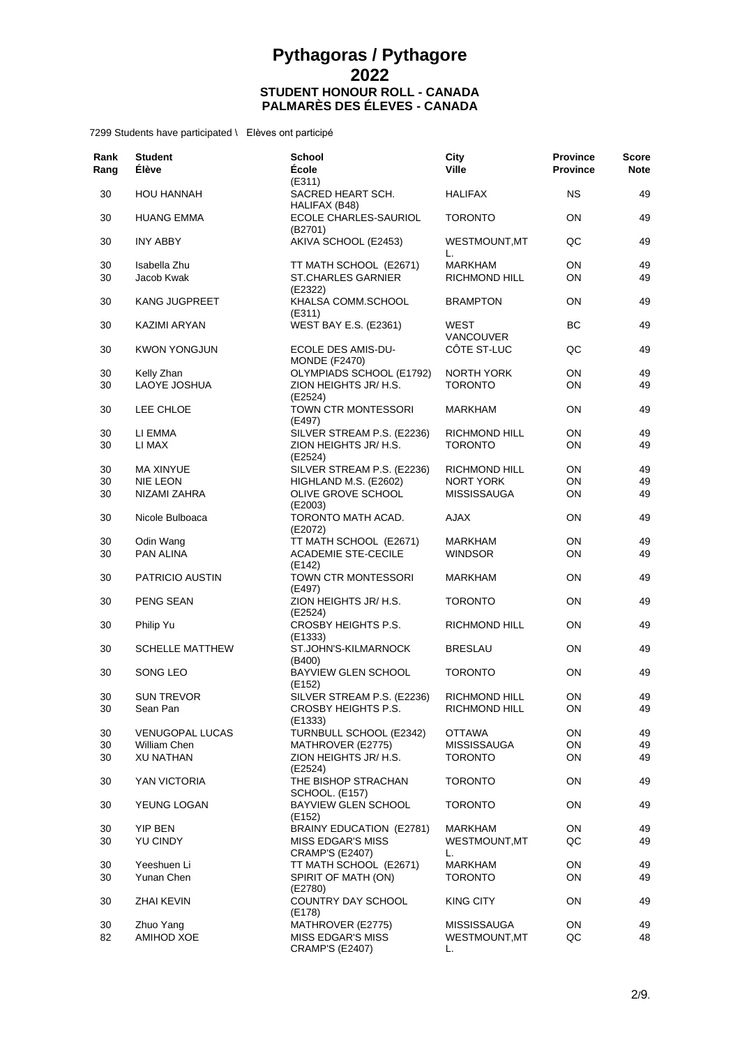| Rank<br>Rang | <b>Student</b><br><b>Élève</b> | <b>School</b><br>École                       | City<br>Ville            | <b>Province</b><br><b>Province</b> | Score<br><b>Note</b> |
|--------------|--------------------------------|----------------------------------------------|--------------------------|------------------------------------|----------------------|
| 30           | <b>HOU HANNAH</b>              | (E311)<br>SACRED HEART SCH.<br>HALIFAX (B48) | <b>HALIFAX</b>           | ΝS                                 | 49                   |
| 30           | <b>HUANG EMMA</b>              | ECOLE CHARLES-SAURIOL<br>(B2701)             | <b>TORONTO</b>           | OΝ                                 | 49                   |
| 30           | <b>INY ABBY</b>                | AKIVA SCHOOL (E2453)                         | WESTMOUNT, MT<br>L.      | QC                                 | 49                   |
| 30           | Isabella Zhu                   | TT MATH SCHOOL (E2671)                       | <b>MARKHAM</b>           | ON                                 | 49                   |
| 30           | Jacob Kwak                     | <b>ST.CHARLES GARNIER</b><br>(E2322)         | <b>RICHMOND HILL</b>     | ON                                 | 49                   |
| 30           | KANG JUGPREET                  | KHALSA COMM.SCHOOL<br>(E311)                 | <b>BRAMPTON</b>          | OΝ                                 | 49                   |
| 30           | KAZIMI ARYAN                   | <b>WEST BAY E.S. (E2361)</b>                 | WEST<br><b>VANCOUVER</b> | ВC                                 | 49                   |
| 30           | <b>KWON YONGJUN</b>            | ECOLE DES AMIS-DU-<br><b>MONDE (F2470)</b>   | CÔTE ST-LUC              | QC                                 | 49                   |
| 30           | Kelly Zhan                     | OLYMPIADS SCHOOL (E1792)                     | NORTH YORK               | ON                                 | 49                   |
| 30           | LAOYE JOSHUA                   | ZION HEIGHTS JR/ H.S.<br>(E2524)             | <b>TORONTO</b>           | ON                                 | 49                   |
| 30           | LEE CHLOE                      | <b>TOWN CTR MONTESSORI</b><br>(E497)         | MARKHAM                  | ΟN                                 | 49                   |
| 30           | LI EMMA                        | SILVER STREAM P.S. (E2236)                   | <b>RICHMOND HILL</b>     | ON                                 | 49                   |
| 30           | LI MAX                         | ZION HEIGHTS JR/ H.S.<br>(E2524)             | <b>TORONTO</b>           | ON                                 | 49                   |
| 30           | <b>MA XINYUE</b>               | SILVER STREAM P.S. (E2236)                   | RICHMOND HILL            | ΟN                                 | 49                   |
| 30           | <b>NIE LEON</b>                | HIGHLAND M.S. (E2602)                        | <b>NORT YORK</b>         | ON                                 | 49                   |
| 30           | NIZAMI ZAHRA                   | OLIVE GROVE SCHOOL<br>(E2003)                | <b>MISSISSAUGA</b>       | OΝ                                 | 49                   |
| 30           | Nicole Bulboaca                | TORONTO MATH ACAD.<br>(E2072)                | <b>AJAX</b>              | OΝ                                 | 49                   |
| 30           | Odin Wang                      | TT MATH SCHOOL (E2671)                       | MARKHAM                  | ON                                 | 49                   |
| 30           | <b>PAN ALINA</b>               | <b>ACADEMIE STE-CECILE</b><br>(E142)         | <b>WINDSOR</b>           | OΝ                                 | 49                   |
| 30           | <b>PATRICIO AUSTIN</b>         | TOWN CTR MONTESSORI<br>(E497)                | <b>MARKHAM</b>           | ON                                 | 49                   |
| 30           | PENG SEAN                      | ZION HEIGHTS JR/ H.S.<br>(E2524)             | <b>TORONTO</b>           | OΝ                                 | 49                   |
| 30           | Philip Yu                      | CROSBY HEIGHTS P.S.<br>(E1333)               | <b>RICHMOND HILL</b>     | ON                                 | 49                   |
| 30           | <b>SCHELLE MATTHEW</b>         | ST.JOHN'S-KILMARNOCK<br>(B400)               | <b>BRESLAU</b>           | OΝ                                 | 49                   |
| 30           | SONG LEO                       | <b>BAYVIEW GLEN SCHOOL</b><br>(E152)         | <b>TORONTO</b>           | ON                                 | 49                   |
| 30           | <b>SUN TREVOR</b>              | SILVER STREAM P.S. (E2236)                   | RICHMOND HILL            | ON                                 | 49                   |
| 30           | Sean Pan                       | CROSBY HEIGHTS P.S.<br>(E1333)               | RICHMOND HILL            | ON                                 | 49                   |
| 30           | VENUGOPAL LUCAS                | TURNBULL SCHOOL (E2342)                      | <b>OTTAWA</b>            | ON                                 | 49                   |
| 30           | <b>William Chen</b>            | MATHROVER (E2775)                            | <b>MISSISSAUGA</b>       | ON                                 | 49                   |
| 30           | <b>XU NATHAN</b>               | ZION HEIGHTS JR/ H.S.<br>(E2524)             | <b>TORONTO</b>           | ON                                 | 49                   |
| 30           | YAN VICTORIA                   | THE BISHOP STRACHAN<br>SCHOOL. (E157)        | <b>TORONTO</b>           | ON                                 | 49                   |
| 30           | YEUNG LOGAN                    | <b>BAYVIEW GLEN SCHOOL</b><br>(E152)         | <b>TORONTO</b>           | ON                                 | 49                   |
| 30           | YIP BEN                        | BRAINY EDUCATION (E2781)                     | <b>MARKHAM</b>           | ON                                 | 49                   |
| 30           | YU CINDY                       | MISS EDGAR'S MISS<br><b>CRAMP'S (E2407)</b>  | WESTMOUNT, MT<br>L.      | QC                                 | 49                   |
| 30           | Yeeshuen Li                    | TT MATH SCHOOL (E2671)                       | <b>MARKHAM</b>           | ON                                 | 49                   |
| 30           | Yunan Chen                     | SPIRIT OF MATH (ON)<br>(E2780)               | <b>TORONTO</b>           | ON                                 | 49                   |
| 30           | <b>ZHAI KEVIN</b>              | COUNTRY DAY SCHOOL<br>(E178)                 | KING CITY                | ON                                 | 49                   |
| 30           | Zhuo Yang                      | MATHROVER (E2775)                            | MISSISSAUGA              | ON                                 | 49                   |
| 82           | AMIHOD XOE                     | MISS EDGAR'S MISS<br><b>CRAMP'S (E2407)</b>  | WESTMOUNT, MT<br>L.      | QC                                 | 48                   |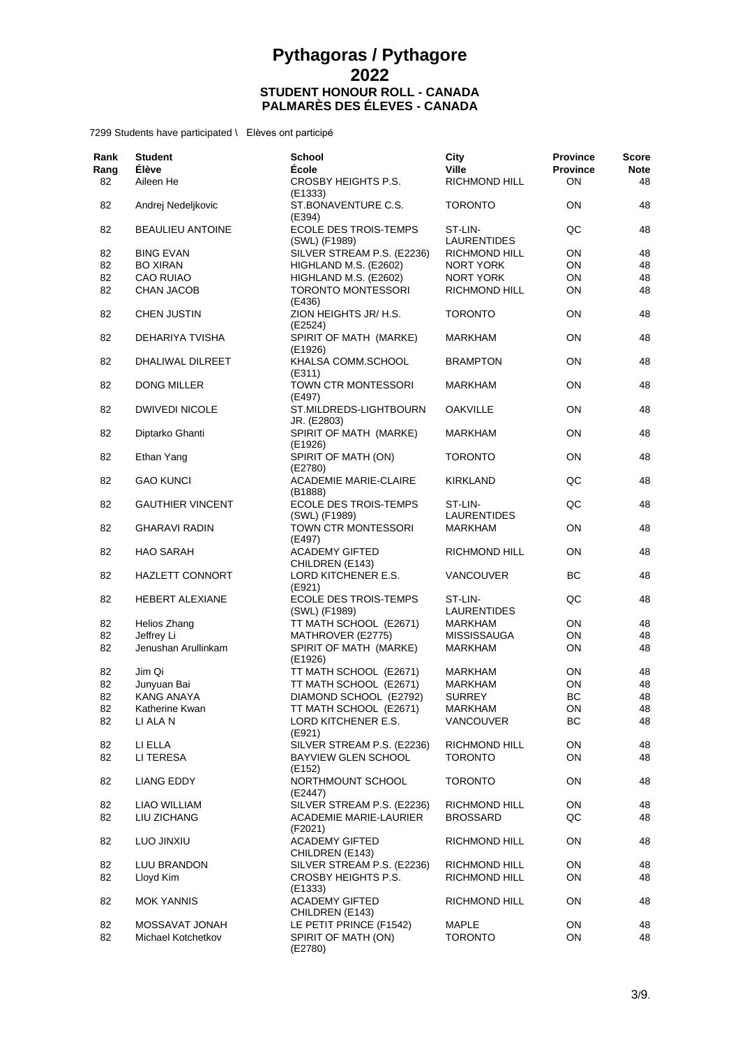| Rank<br>Rang | <b>Student</b><br>Élève | <b>School</b><br>École                        | City<br><b>Ville</b>          | <b>Province</b><br><b>Province</b> | <b>Score</b><br><b>Note</b> |
|--------------|-------------------------|-----------------------------------------------|-------------------------------|------------------------------------|-----------------------------|
| 82           | Aileen He               | <b>CROSBY HEIGHTS P.S.</b><br>(E1333)         | RICHMOND HILL                 | ON                                 | 48                          |
| 82           | Andrej Nedeljkovic      | ST.BONAVENTURE C.S.<br>(E394)                 | TORONTO                       | ON                                 | 48                          |
| 82           | <b>BEAULIEU ANTOINE</b> | <b>ECOLE DES TROIS-TEMPS</b><br>(SWL) (F1989) | ST-LIN-<br><b>LAURENTIDES</b> | QC                                 | 48                          |
| 82           | <b>BING EVAN</b>        | SILVER STREAM P.S. (E2236)                    | RICHMOND HILL                 | ON                                 | 48                          |
| 82           | <b>BO XIRAN</b>         | HIGHLAND M.S. (E2602)                         | NORT YORK                     | ON                                 | 48                          |
| 82           | <b>CAO RUIAO</b>        | HIGHLAND M.S. (E2602)                         | NORT YORK                     | ON                                 | 48                          |
| 82           | <b>CHAN JACOB</b>       | TORONTO MONTESSORI<br>(E436)                  | RICHMOND HILL                 | ON                                 | 48                          |
| 82           | <b>CHEN JUSTIN</b>      | ZION HEIGHTS JR/ H.S.<br>(E2524)              | <b>TORONTO</b>                | ON                                 | 48                          |
| 82           | DEHARIYA TVISHA         | SPIRIT OF MATH (MARKE)<br>(E1926)             | <b>MARKHAM</b>                | ON                                 | 48                          |
| 82           | DHALIWAL DILREET        | KHALSA COMM.SCHOOL<br>(E311)                  | <b>BRAMPTON</b>               | ON                                 | 48                          |
| 82           | <b>DONG MILLER</b>      | TOWN CTR MONTESSORI<br>(E497)                 | MARKHAM                       | ON                                 | 48                          |
| 82           | <b>DWIVEDI NICOLE</b>   | ST.MILDREDS-LIGHTBOURN<br>JR. (E2803)         | <b>OAKVILLE</b>               | ON                                 | 48                          |
| 82           | Diptarko Ghanti         | SPIRIT OF MATH (MARKE)<br>(E1926)             | MARKHAM                       | ON                                 | 48                          |
| 82           | Ethan Yang              | SPIRIT OF MATH (ON)<br>(E2780)                | <b>TORONTO</b>                | ON                                 | 48                          |
| 82           | <b>GAO KUNCI</b>        | <b>ACADEMIE MARIE-CLAIRE</b><br>(B1888)       | KIRKLAND                      | QC                                 | 48                          |
| 82           | <b>GAUTHIER VINCENT</b> | <b>ECOLE DES TROIS-TEMPS</b><br>(SWL) (F1989) | ST-LIN-<br><b>LAURENTIDES</b> | QC                                 | 48                          |
| 82           | <b>GHARAVI RADIN</b>    | TOWN CTR MONTESSORI<br>(E497)                 | <b>MARKHAM</b>                | ON                                 | 48                          |
| 82           | <b>HAO SARAH</b>        | <b>ACADEMY GIFTED</b><br>CHILDREN (E143)      | RICHMOND HILL                 | ON                                 | 48                          |
| 82           | HAZLETT CONNORT         | LORD KITCHENER E.S.<br>(E921)                 | VANCOUVER                     | ВC                                 | 48                          |
| 82           | <b>HEBERT ALEXIANE</b>  | <b>ECOLE DES TROIS-TEMPS</b><br>(SWL) (F1989) | ST-LIN-<br>LAURENTIDES        | QC                                 | 48                          |
| 82           | Helios Zhang            | TT MATH SCHOOL (E2671)                        | MARKHAM                       | ON                                 | 48                          |
| 82           | Jeffrey Li              | MATHROVER (E2775)                             | <b>MISSISSAUGA</b>            | ON                                 | 48                          |
| 82           | Jenushan Arullinkam     | SPIRIT OF MATH (MARKE)<br>(E1926)             | MARKHAM                       | ON                                 | 48                          |
| 82           | Jim Qi                  | TT MATH SCHOOL (E2671)                        | MARKHAM                       | ON                                 | 48                          |
| 82           | Junyuan Bai             | TT MATH SCHOOL (E2671)                        | MARKHAM                       | ON                                 | 48                          |
| 82           | <b>KANG ANAYA</b>       | DIAMOND SCHOOL (E2792)                        | <b>SURREY</b>                 | ВC                                 | 48                          |
| 82           | Katherine Kwan          | TT MATH SCHOOL (E2671)                        | <b>MARKHAM</b>                | ON                                 | 48                          |
| 82           | LI ALA N                | LORD KITCHENER E.S.<br>(E921)                 | VANCOUVER                     | <b>BC</b>                          | 48                          |
| 82           | LI ELLA                 | SILVER STREAM P.S. (E2236)                    | <b>RICHMOND HILL</b>          | ON                                 | 48                          |
| 82           | LI TERESA               | BAYVIEW GLEN SCHOOL<br>(E152)                 | <b>TORONTO</b>                | ON                                 | 48                          |
| 82           | <b>LIANG EDDY</b>       | NORTHMOUNT SCHOOL<br>(E2447)                  | <b>TORONTO</b>                | ON                                 | 48                          |
| 82           | LIAO WILLIAM            | SILVER STREAM P.S. (E2236)                    | RICHMOND HILL                 | ON                                 | 48                          |
| 82           | LIU ZICHANG             | ACADEMIE MARIE-LAURIER                        | <b>BROSSARD</b>               | QC                                 | 48                          |
|              |                         | (F2021)                                       |                               |                                    |                             |
| 82           | LUO JINXIU              | <b>ACADEMY GIFTED</b><br>CHILDREN (E143)      | RICHMOND HILL                 | ON                                 | 48                          |
| 82           | LUU BRANDON             | SILVER STREAM P.S. (E2236)                    | RICHMOND HILL                 | ON                                 | 48                          |
| 82           | Lloyd Kim               | CROSBY HEIGHTS P.S.<br>(E1333)                | RICHMOND HILL                 | ON                                 | 48                          |
| 82           | <b>MOK YANNIS</b>       | <b>ACADEMY GIFTED</b><br>CHILDREN (E143)      | RICHMOND HILL                 | ON                                 | 48                          |
| 82           | MOSSAVAT JONAH          | LE PETIT PRINCE (F1542)                       | <b>MAPLE</b>                  | ON                                 | 48                          |
| 82           | Michael Kotchetkov      | SPIRIT OF MATH (ON)<br>(E2780)                | <b>TORONTO</b>                | ON                                 | 48                          |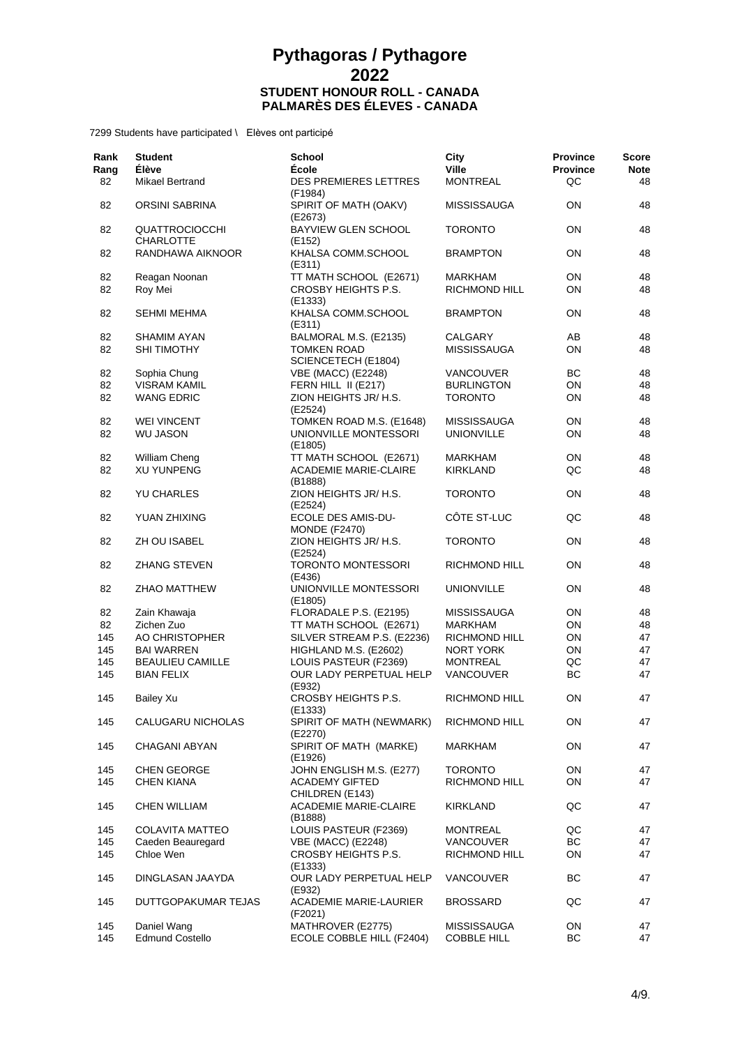| Rank<br>Rang | <b>Student</b><br><b>Élève</b>            | <b>School</b><br><b>École</b>              | City<br><b>Ville</b> | <b>Province</b><br><b>Province</b> | <b>Score</b><br><b>Note</b> |
|--------------|-------------------------------------------|--------------------------------------------|----------------------|------------------------------------|-----------------------------|
| 82           | Mikael Bertrand                           | <b>DES PREMIERES LETTRES</b><br>(F1984)    | <b>MONTREAL</b>      | QC                                 | 48                          |
| 82           | ORSINI SABRINA                            | SPIRIT OF MATH (OAKV)<br>(E2673)           | <b>MISSISSAUGA</b>   | ON                                 | 48                          |
| 82           | <b>QUATTROCIOCCHI</b><br><b>CHARLOTTE</b> | <b>BAYVIEW GLEN SCHOOL</b><br>(E152)       | <b>TORONTO</b>       | 0N                                 | 48                          |
| 82           | RANDHAWA AIKNOOR                          | KHALSA COMM.SCHOOL                         | <b>BRAMPTON</b>      | ON                                 | 48                          |
| 82           | Reagan Noonan                             | (E311)<br>TT MATH SCHOOL (E2671)           | MARKHAM              | 0N                                 | 48                          |
| 82           | Roy Mei                                   | CROSBY HEIGHTS P.S.<br>(E1333)             | RICHMOND HILL        | ON                                 | 48                          |
| 82           | <b>SEHMI MEHMA</b>                        | KHALSA COMM.SCHOOL<br>(E311)               | <b>BRAMPTON</b>      | ON                                 | 48                          |
| 82           | SHAMIM AYAN                               | BALMORAL M.S. (E2135)                      | CALGARY              | AB                                 | 48                          |
| 82           | <b>SHI TIMOTHY</b>                        | <b>TOMKEN ROAD</b><br>SCIENCETECH (E1804)  | <b>MISSISSAUGA</b>   | ON                                 | 48                          |
| 82           | Sophia Chung                              | VBE (MACC) (E2248)                         | VANCOUVER            | BC                                 | 48                          |
| 82           | <b>VISRAM KAMIL</b>                       | FERN HILL II (E217)                        | <b>BURLINGTON</b>    | ON                                 | 48                          |
| 82           | <b>WANG EDRIC</b>                         | ZION HEIGHTS JR/ H.S.<br>(E2524)           | <b>TORONTO</b>       | ON                                 | 48                          |
| 82           | <b>WEI VINCENT</b>                        | TOMKEN ROAD M.S. (E1648)                   | <b>MISSISSAUGA</b>   | ON                                 | 48                          |
| 82           | <b>WU JASON</b>                           | UNIONVILLE MONTESSORI<br>(E1805)           | <b>UNIONVILLE</b>    | ON                                 | 48                          |
| 82           | William Cheng                             | TT MATH SCHOOL (E2671)                     | <b>MARKHAM</b>       | ON                                 | 48                          |
| 82           | <b>XU YUNPENG</b>                         | ACADEMIE MARIE-CLAIRE<br>(B1888)           | <b>KIRKLAND</b>      | QC                                 | 48                          |
| 82           | <b>YU CHARLES</b>                         | ZION HEIGHTS JR/ H.S.<br>(E2524)           | <b>TORONTO</b>       | ON                                 | 48                          |
| 82           | YUAN ZHIXING                              | ECOLE DES AMIS-DU-<br><b>MONDE (F2470)</b> | CÔTE ST-LUC          | QC                                 | 48                          |
| 82           | ZH OU ISABEL                              | ZION HEIGHTS JR/ H.S.<br>(E2524)           | <b>TORONTO</b>       | ON                                 | 48                          |
| 82           | <b>ZHANG STEVEN</b>                       | <b>TORONTO MONTESSORI</b><br>(E436)        | <b>RICHMOND HILL</b> | ON                                 | 48                          |
| 82           | ZHAO MATTHEW                              | UNIONVILLE MONTESSORI<br>(E1805)           | <b>UNIONVILLE</b>    | ON                                 | 48                          |
| 82           | Zain Khawaja                              | FLORADALE P.S. (E2195)                     | <b>MISSISSAUGA</b>   | ON                                 | 48                          |
| 82           | Zichen Zuo                                | TT MATH SCHOOL (E2671)                     | MARKHAM              | ON                                 | 48                          |
| 145          | AO CHRISTOPHER                            | SILVER STREAM P.S. (E2236)                 | RICHMOND HILL        | ON                                 | 47                          |
| 145          | BAI WARREN                                | HIGHLAND M.S. (E2602)                      | NORT YORK            | ON                                 | 47                          |
| 145          | <b>BEAULIEU CAMILLE</b>                   | LOUIS PASTEUR (F2369)                      | <b>MONTREAL</b>      | QC                                 | 47                          |
| 145          | <b>BIAN FELIX</b>                         | OUR LADY PERPETUAL HELP<br>(E932)          | <b>VANCOUVER</b>     | <b>BC</b>                          | 47                          |
| 145          | <b>Bailey Xu</b>                          | CROSBY HEIGHTS P.S.<br>(E1333)             | RICHMOND HILL        | ON                                 | 47                          |
| 145          | CALUGARU NICHOLAS                         | SPIRIT OF MATH (NEWMARK)<br>(E2270)        | RICHMOND HILL        | ON                                 | 47                          |
| 145          | CHAGANI ABYAN                             | SPIRIT OF MATH (MARKE)<br>(E1926)          | MARKHAM              | ON                                 | 47                          |
| 145          | CHEN GEORGE                               | JOHN ENGLISH M.S. (E277)                   | <b>TORONTO</b>       | ON                                 | 47                          |
| 145          | <b>CHEN KIANA</b>                         | <b>ACADEMY GIFTED</b><br>CHILDREN (E143)   | RICHMOND HILL        | ON                                 | 47                          |
| 145          | CHEN WILLIAM                              | <b>ACADEMIE MARIE-CLAIRE</b><br>(B1888)    | <b>KIRKLAND</b>      | QC                                 | 47                          |
| 145          | <b>COLAVITA MATTEO</b>                    | LOUIS PASTEUR (F2369)                      | <b>MONTREAL</b>      | QC                                 | 47                          |
| 145          | Caeden Beauregard                         | <b>VBE (MACC) (E2248)</b>                  | <b>VANCOUVER</b>     | ВC                                 | 47                          |
| 145          | Chloe Wen                                 | CROSBY HEIGHTS P.S.<br>(E1333)             | RICHMOND HILL        | ON                                 | 47                          |
| 145          | DINGLASAN JAAYDA                          | OUR LADY PERPETUAL HELP<br>(E932)          | VANCOUVER            | BС                                 | 47                          |
| 145          | DUTTGOPAKUMAR TEJAS                       | ACADEMIE MARIE-LAURIER<br>(F2021)          | <b>BROSSARD</b>      | QC                                 | 47                          |
| 145          | Daniel Wang                               | MATHROVER (E2775)                          | <b>MISSISSAUGA</b>   | ON                                 | 47                          |
| 145          | <b>Edmund Costello</b>                    | ECOLE COBBLE HILL (F2404)                  | <b>COBBLE HILL</b>   | ВC                                 | 47                          |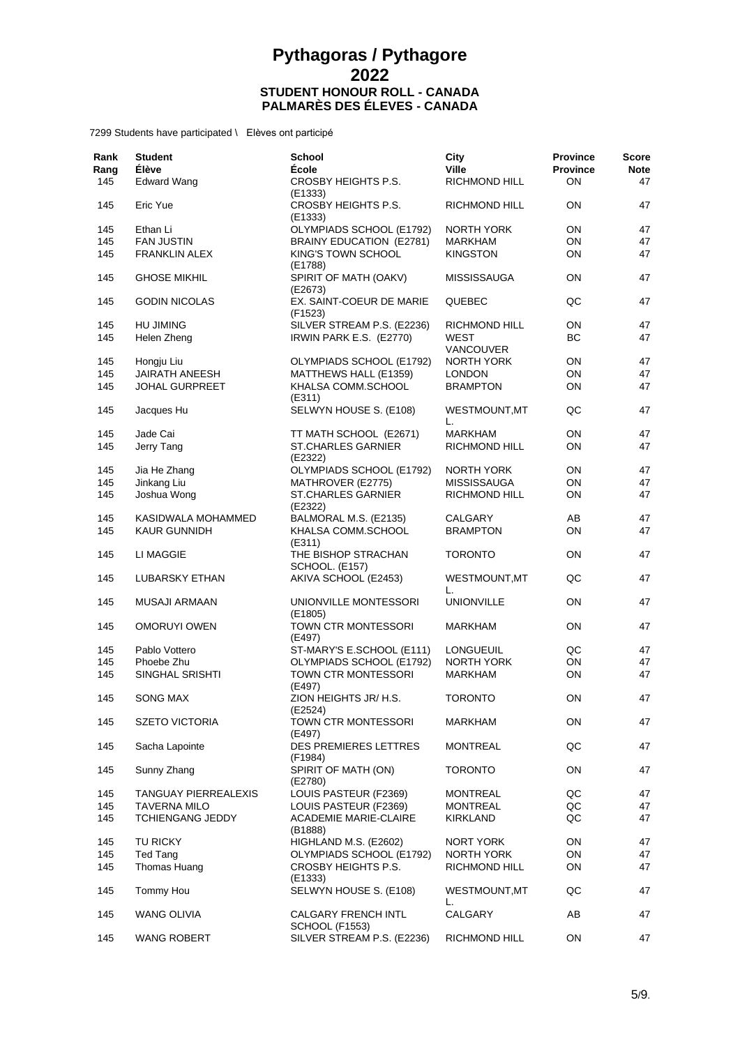| Rank<br>Rang | <b>Student</b><br>Élève     | <b>School</b><br>École                              | City<br><b>Ville</b> | <b>Province</b><br><b>Province</b> | <b>Score</b><br><b>Note</b> |
|--------------|-----------------------------|-----------------------------------------------------|----------------------|------------------------------------|-----------------------------|
| 145          | <b>Edward Wang</b>          | <b>CROSBY HEIGHTS P.S.</b><br>(E1333)               | RICHMOND HILL        | <b>ON</b>                          | 47                          |
| 145          | Eric Yue                    | CROSBY HEIGHTS P.S.<br>(E1333)                      | RICHMOND HILL        | <b>ON</b>                          | 47                          |
| 145          | Ethan Li                    | OLYMPIADS SCHOOL (E1792)                            | <b>NORTH YORK</b>    | <b>ON</b>                          | 47                          |
| 145          | <b>FAN JUSTIN</b>           | BRAINY EDUCATION (E2781)                            | MARKHAM              | ON                                 | 47                          |
| 145          | <b>FRANKLIN ALEX</b>        | KING'S TOWN SCHOOL<br>(E1788)                       | <b>KINGSTON</b>      | ON                                 | 47                          |
| 145          | <b>GHOSE MIKHIL</b>         | SPIRIT OF MATH (OAKV)<br>(E2673)                    | <b>MISSISSAUGA</b>   | <b>ON</b>                          | 47                          |
| 145          | <b>GODIN NICOLAS</b>        | EX. SAINT-COEUR DE MARIE<br>(F1523)                 | QUEBEC               | QC                                 | 47                          |
| 145          | <b>HU JIMING</b>            | SILVER STREAM P.S. (E2236)                          | RICHMOND HILL        | ON                                 | 47                          |
| 145          | Helen Zheng                 | IRWIN PARK E.S. (E2770)                             | WEST<br>VANCOUVER    | ВC                                 | 47                          |
| 145          | Hongju Liu                  | OLYMPIADS SCHOOL (E1792)                            | <b>NORTH YORK</b>    | ON                                 | 47                          |
| 145          | <b>JAIRATH ANEESH</b>       | MATTHEWS HALL (E1359)                               | <b>LONDON</b>        | ON                                 | 47                          |
| 145          | JOHAL GURPREET              | KHALSA COMM.SCHOOL<br>(E311)                        | <b>BRAMPTON</b>      | <b>ON</b>                          | 47                          |
| 145          | Jacques Hu                  | SELWYN HOUSE S. (E108)                              | WESTMOUNT, MT<br>L.  | QC                                 | 47                          |
| 145          | Jade Cai                    | TT MATH SCHOOL (E2671)                              | <b>MARKHAM</b>       | ON                                 | 47                          |
| 145          | Jerry Tang                  | ST.CHARLES GARNIER<br>(E2322)                       | RICHMOND HILL        | ON                                 | 47                          |
| 145          | Jia He Zhang                | OLYMPIADS SCHOOL (E1792)                            | <b>NORTH YORK</b>    | ON                                 | 47                          |
| 145          | Jinkang Liu                 | MATHROVER (E2775)                                   | <b>MISSISSAUGA</b>   | ON                                 | 47                          |
| 145          | Joshua Wong                 | <b>ST.CHARLES GARNIER</b><br>(E2322)                | RICHMOND HILL        | ON                                 | 47                          |
| 145          | KASIDWALA MOHAMMED          | BALMORAL M.S. (E2135)                               | CALGARY              | AB                                 | 47                          |
| 145          | <b>KAUR GUNNIDH</b>         | KHALSA COMM.SCHOOL<br>(E311)                        | <b>BRAMPTON</b>      | <b>ON</b>                          | 47                          |
| 145          | LI MAGGIE                   | THE BISHOP STRACHAN<br><b>SCHOOL. (E157)</b>        | <b>TORONTO</b>       | ON                                 | 47                          |
| 145          | LUBARSKY ETHAN              | AKIVA SCHOOL (E2453)                                | WESTMOUNT, MT<br>L.  | QC                                 | 47                          |
| 145          | <b>MUSAJI ARMAAN</b>        | UNIONVILLE MONTESSORI<br>(E1805)                    | <b>UNIONVILLE</b>    | <b>ON</b>                          | 47                          |
| 145          | <b>OMORUYI OWEN</b>         | TOWN CTR MONTESSORI<br>(E497)                       | <b>MARKHAM</b>       | ON                                 | 47                          |
| 145          | Pablo Vottero               | ST-MARY'S E.SCHOOL (E111)                           | LONGUEUIL            | QC                                 | 47                          |
| 145          | Phoebe Zhu                  | OLYMPIADS SCHOOL (E1792)                            | <b>NORTH YORK</b>    | ON                                 | 47                          |
| 145          | SINGHAL SRISHTI             | TOWN CTR MONTESSORI<br>(E497)                       | <b>MARKHAM</b>       | ON                                 | 47                          |
| 145          | <b>SONG MAX</b>             | ZION HEIGHTS JR/ H.S.<br>(E2524)                    | <b>TORONTO</b>       | <b>ON</b>                          | 47                          |
| 145          | <b>SZETO VICTORIA</b>       | TOWN CTR MONTESSORI<br>(E497)                       | MARKHAM              | ON                                 | 47                          |
| 145          | Sacha Lapointe              | <b>DES PREMIERES LETTRES</b><br>(F1984)             | <b>MONTREAL</b>      | QC                                 | 47                          |
| 145          | Sunny Zhang                 | SPIRIT OF MATH (ON)<br>(E2780)                      | <b>TORONTO</b>       | ON                                 | 47                          |
| 145          | <b>TANGUAY PIERREALEXIS</b> | LOUIS PASTEUR (F2369)                               | <b>MONTREAL</b>      | QC                                 | 47                          |
| 145          | <b>TAVERNA MILO</b>         | LOUIS PASTEUR (F2369)                               | <b>MONTREAL</b>      | QC                                 | 47                          |
| 145          | <b>TCHIENGANG JEDDY</b>     | <b>ACADEMIE MARIE-CLAIRE</b><br>(B1888)             | <b>KIRKLAND</b>      | QC                                 | 47                          |
| 145          | TU RICKY                    | HIGHLAND M.S. (E2602)                               | NORT YORK            | ON                                 | 47                          |
| 145          | Ted Tang                    | OLYMPIADS SCHOOL (E1792)                            | <b>NORTH YORK</b>    | ON                                 | 47                          |
| 145          | Thomas Huang                | CROSBY HEIGHTS P.S.<br>(E1333)                      | RICHMOND HILL        | ON                                 | 47                          |
| 145          | Tommy Hou                   | SELWYN HOUSE S. (E108)                              | WESTMOUNT, MT<br>L.  | QC                                 | 47                          |
| 145          | WANG OLIVIA                 | <b>CALGARY FRENCH INTL</b><br><b>SCHOOL (F1553)</b> | CALGARY              | AB                                 | 47                          |
| 145          | <b>WANG ROBERT</b>          | SILVER STREAM P.S. (E2236)                          | RICHMOND HILL        | ON                                 | 47                          |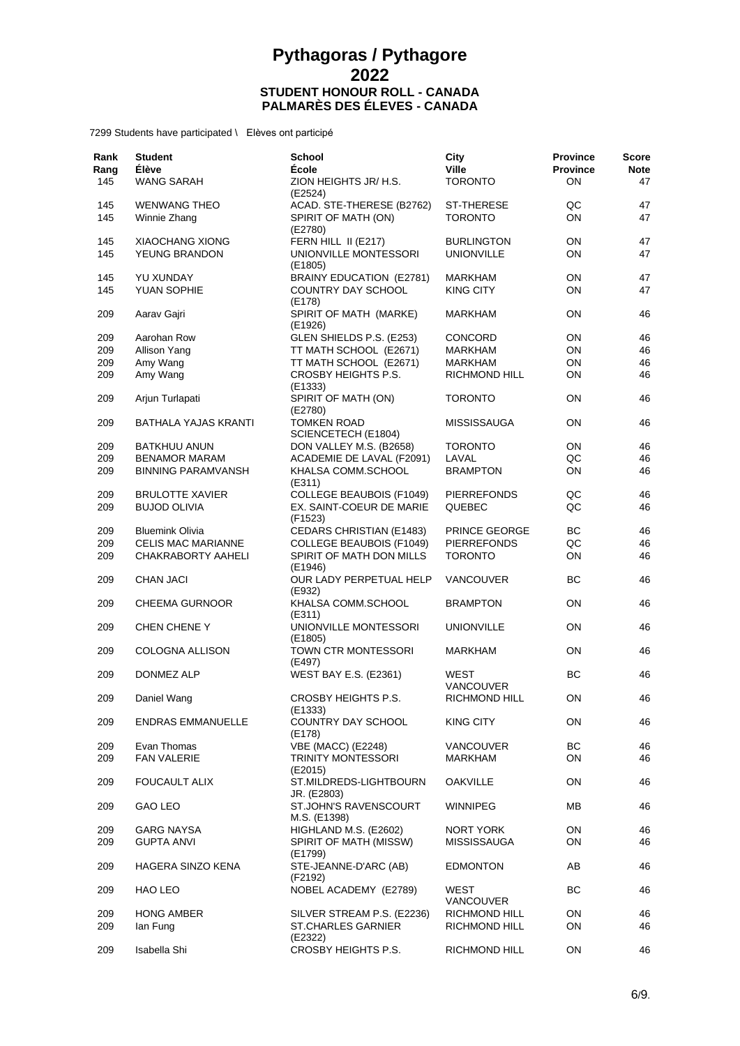| Rank<br>Rang<br>145 | <b>Student</b><br>Élève<br><b>WANG SARAH</b> | <b>School</b><br><b>École</b><br>ZION HEIGHTS JR/ H.S.      | City<br><b>Ville</b><br><b>TORONTO</b> | <b>Province</b><br><b>Province</b><br><b>ON</b> | <b>Score</b><br><b>Note</b><br>47 |
|---------------------|----------------------------------------------|-------------------------------------------------------------|----------------------------------------|-------------------------------------------------|-----------------------------------|
|                     |                                              | (E2524)                                                     |                                        |                                                 |                                   |
| 145<br>145          | <b>WENWANG THEO</b><br>Winnie Zhang          | ACAD. STE-THERESE (B2762)<br>SPIRIT OF MATH (ON)<br>(E2780) | <b>ST-THERESE</b><br><b>TORONTO</b>    | QC<br>ON                                        | 47<br>47                          |
| 145                 | <b>XIAOCHANG XIONG</b>                       | FERN HILL II (E217)                                         | <b>BURLINGTON</b>                      | ON                                              | 47                                |
| 145                 | YEUNG BRANDON                                | UNIONVILLE MONTESSORI<br>(E1805)                            | <b>UNIONVILLE</b>                      | ON                                              | 47                                |
| 145                 | YU XUNDAY                                    | BRAINY EDUCATION (E2781)                                    | MARKHAM                                | 0N                                              | 47                                |
| 145                 | YUAN SOPHIE                                  | <b>COUNTRY DAY SCHOOL</b><br>(E178)                         | <b>KING CITY</b>                       | ON                                              | 47                                |
| 209                 | Aarav Gajri                                  | SPIRIT OF MATH (MARKE)<br>(E1926)                           | MARKHAM                                | ON                                              | 46                                |
| 209                 | Aarohan Row                                  | GLEN SHIELDS P.S. (E253)                                    | <b>CONCORD</b>                         | ON                                              | 46                                |
| 209                 | Allison Yang                                 | TT MATH SCHOOL (E2671)                                      | MARKHAM                                | 0N                                              | 46                                |
| 209                 | Amy Wang                                     | TT MATH SCHOOL (E2671)                                      | <b>MARKHAM</b>                         | ON                                              | 46                                |
| 209                 | Amy Wang                                     | CROSBY HEIGHTS P.S.<br>(E1333)                              | <b>RICHMOND HILL</b>                   | ON                                              | 46                                |
| 209                 | Arjun Turlapati                              | SPIRIT OF MATH (ON)<br>(E2780)                              | <b>TORONTO</b>                         | 0N                                              | 46                                |
| 209                 | BATHALA YAJAS KRANTI                         | <b>TOMKEN ROAD</b><br>SCIENCETECH (E1804)                   | <b>MISSISSAUGA</b>                     | ON                                              | 46                                |
| 209                 | <b>BATKHUU ANUN</b>                          | DON VALLEY M.S. (B2658)                                     | <b>TORONTO</b>                         | ON                                              | 46                                |
| 209                 | <b>BENAMOR MARAM</b>                         | ACADEMIE DE LAVAL (F2091)                                   | LAVAL                                  | QC                                              | 46                                |
| 209                 | BINNING PARAMVANSH                           | KHALSA COMM.SCHOOL<br>(E311)                                | <b>BRAMPTON</b>                        | ON                                              | 46                                |
| 209                 | <b>BRULOTTE XAVIER</b>                       | <b>COLLEGE BEAUBOIS (F1049)</b>                             | <b>PIERREFONDS</b>                     | QC                                              | 46                                |
| 209                 | <b>BUJOD OLIVIA</b>                          | EX. SAINT-COEUR DE MARIE<br>(F1523)                         | QUEBEC                                 | QC                                              | 46                                |
| 209                 | <b>Bluemink Olivia</b>                       | <b>CEDARS CHRISTIAN (E1483)</b>                             | <b>PRINCE GEORGE</b>                   | ВC                                              | 46                                |
| 209                 | <b>CELIS MAC MARIANNE</b>                    | COLLEGE BEAUBOIS (F1049)                                    | <b>PIERREFONDS</b>                     | QC                                              | 46                                |
| 209                 | <b>CHAKRABORTY AAHELI</b>                    | SPIRIT OF MATH DON MILLS<br>(E1946)                         | <b>TORONTO</b>                         | 0N                                              | 46                                |
| 209                 | <b>CHAN JACI</b>                             | OUR LADY PERPETUAL HELP<br>(E932)                           | <b>VANCOUVER</b>                       | ВC                                              | 46                                |
| 209                 | <b>CHEEMA GURNOOR</b>                        | KHALSA COMM.SCHOOL<br>(E311)                                | <b>BRAMPTON</b>                        | ON                                              | 46                                |
| 209                 | <b>CHEN CHENE Y</b>                          | UNIONVILLE MONTESSORI<br>(E1805)                            | <b>UNIONVILLE</b>                      | ON                                              | 46                                |
| 209                 | COLOGNA ALLISON                              | TOWN CTR MONTESSORI<br>(E497)                               | <b>MARKHAM</b>                         | ON                                              | 46                                |
| 209                 | DONMEZ ALP                                   | <b>WEST BAY E.S. (E2361)</b>                                | WEST<br><b>VANCOUVER</b>               | ВC                                              | 46                                |
| 209                 | Daniel Wang                                  | CROSBY HEIGHTS P.S.<br>(E1333)                              | <b>RICHMOND HILL</b>                   | ON                                              | 46                                |
| 209                 | ENDRAS EMMANUELLE                            | <b>COUNTRY DAY SCHOOL</b><br>(E178)                         | KING CITY                              | ON                                              | 46                                |
| 209                 | Evan Thomas                                  | <b>VBE (MACC) (E2248)</b>                                   | <b>VANCOUVER</b>                       | ВC                                              | 46                                |
| 209                 | FAN VALERIE                                  | <b>TRINITY MONTESSORI</b><br>(E2015)                        | <b>MARKHAM</b>                         | ON                                              | 46                                |
| 209                 | <b>FOUCAULT ALIX</b>                         | ST.MILDREDS-LIGHTBOURN<br>JR. (E2803)                       | <b>OAKVILLE</b>                        | ON                                              | 46                                |
| 209                 | GAO LEO                                      | ST.JOHN'S RAVENSCOURT<br>M.S. (E1398)                       | <b>WINNIPEG</b>                        | MВ                                              | 46                                |
| 209                 | <b>GARG NAYSA</b>                            | HIGHLAND M.S. (E2602)                                       | NORT YORK                              | ON                                              | 46                                |
| 209                 | <b>GUPTA ANVI</b>                            | SPIRIT OF MATH (MISSW)<br>(E1799)                           | <b>MISSISSAUGA</b>                     | ON                                              | 46                                |
| 209                 | HAGERA SINZO KENA                            | STE-JEANNE-D'ARC (AB)<br>(F2192)                            | <b>EDMONTON</b>                        | AB                                              | 46                                |
| 209                 | HAO LEO                                      | NOBEL ACADEMY (E2789)                                       | WEST<br><b>VANCOUVER</b>               | BС                                              | 46                                |
| 209<br>209          | <b>HONG AMBER</b><br>lan Fung                | SILVER STREAM P.S. (E2236)<br><b>ST.CHARLES GARNIER</b>     | RICHMOND HILL<br>RICHMOND HILL         | ON<br>ON                                        | 46<br>46                          |
| 209                 | Isabella Shi                                 | (E2322)<br>CROSBY HEIGHTS P.S.                              | RICHMOND HILL                          | ON                                              | 46                                |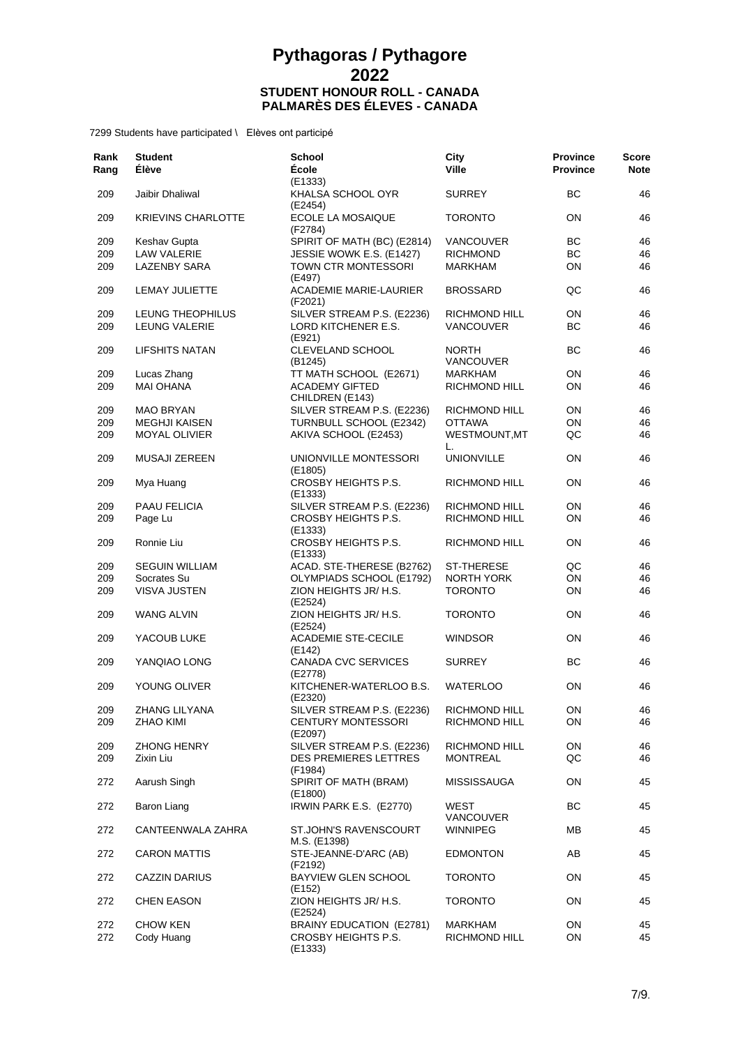| Rank<br>Rang | <b>Student</b><br>Élève   | <b>School</b><br>École                       | City<br><b>Ville</b>             | <b>Province</b><br><b>Province</b> | Score<br><b>Note</b> |
|--------------|---------------------------|----------------------------------------------|----------------------------------|------------------------------------|----------------------|
| 209          | Jaibir Dhaliwal           | (E1333)<br>KHALSA SCHOOL OYR<br>(E2454)      | <b>SURREY</b>                    | BC                                 | 46                   |
| 209          | <b>KRIEVINS CHARLOTTE</b> | ECOLE LA MOSAIQUE<br>(F2784)                 | <b>TORONTO</b>                   | 0N                                 | 46                   |
| 209          | Keshav Gupta              | SPIRIT OF MATH (BC) (E2814)                  | <b>VANCOUVER</b>                 | BС                                 | 46                   |
| 209          | <b>LAW VALERIE</b>        | JESSIE WOWK E.S. (E1427)                     | <b>RICHMOND</b>                  | BC                                 | 46                   |
| 209          | <b>LAZENBY SARA</b>       | TOWN CTR MONTESSORI<br>(E497)                | MARKHAM                          | ON                                 | 46                   |
| 209          | <b>LEMAY JULIETTE</b>     | ACADEMIE MARIE-LAURIER<br>(F2021)            | <b>BROSSARD</b>                  | QC                                 | 46                   |
| 209          | LEUNG THEOPHILUS          | SILVER STREAM P.S. (E2236)                   | <b>RICHMOND HILL</b>             | ON                                 | 46                   |
| 209          | <b>LEUNG VALERIE</b>      | LORD KITCHENER E.S.<br>(E921)                | VANCOUVER                        | BC                                 | 46                   |
| 209          | <b>LIFSHITS NATAN</b>     | CLEVELAND SCHOOL<br>(B <sub>1245</sub> )     | <b>NORTH</b><br><b>VANCOUVER</b> | BС                                 | 46                   |
| 209          | Lucas Zhang               | TT MATH SCHOOL (E2671)                       | <b>MARKHAM</b>                   | ON                                 | 46                   |
| 209          | <b>MAI OHANA</b>          | <b>ACADEMY GIFTED</b><br>CHILDREN (E143)     | RICHMOND HILL                    | ON                                 | 46                   |
| 209          | <b>MAO BRYAN</b>          | SILVER STREAM P.S. (E2236)                   | RICHMOND HILL                    | ON                                 | 46                   |
| 209          | <b>MEGHJI KAISEN</b>      | TURNBULL SCHOOL (E2342)                      | <b>OTTAWA</b>                    | ON                                 | 46                   |
| 209          | <b>MOYAL OLIVIER</b>      | AKIVA SCHOOL (E2453)                         | WESTMOUNT, MT<br>L.              | QC                                 | 46                   |
| 209          | <b>MUSAJI ZEREEN</b>      | UNIONVILLE MONTESSORI<br>(E1805)             | <b>UNIONVILLE</b>                | 0N                                 | 46                   |
| 209          | Mya Huang                 | CROSBY HEIGHTS P.S.<br>(E1333)               | RICHMOND HILL                    | 0N                                 | 46                   |
| 209          | PAAU FELICIA              | SILVER STREAM P.S. (E2236)                   | <b>RICHMOND HILL</b>             | ON                                 | 46                   |
| 209          | Page Lu                   | CROSBY HEIGHTS P.S.<br>(E1333)               | <b>RICHMOND HILL</b>             | ON                                 | 46                   |
| 209          | Ronnie Liu                | CROSBY HEIGHTS P.S.<br>(E1333)               | RICHMOND HILL                    | ON                                 | 46                   |
| 209          | <b>SEGUIN WILLIAM</b>     | ACAD. STE-THERESE (B2762)                    | ST-THERESE                       | QC                                 | 46                   |
| 209          | Socrates Su               | OLYMPIADS SCHOOL (E1792)                     | NORTH YORK                       | ON                                 | 46                   |
| 209          | VISVA JUSTEN              | ZION HEIGHTS JR/ H.S.<br>(E2524)             | <b>TORONTO</b>                   | ON                                 | 46                   |
| 209          | <b>WANG ALVIN</b>         | ZION HEIGHTS JR/ H.S.<br>(E2524)             | <b>TORONTO</b>                   | ON                                 | 46                   |
| 209          | YACOUB LUKE               | <b>ACADEMIE STE-CECILE</b><br>(E142)         | <b>WINDSOR</b>                   | ON.                                | 46                   |
| 209          | YANQIAO LONG              | <b>CANADA CVC SERVICES</b><br>(E2778)        | <b>SURREY</b>                    | BС                                 | 46                   |
| 209          | YOUNG OLIVER              | KITCHENER-WATERLOO B.S.<br>(E2320)           | <b>WATERLOO</b>                  | ON                                 | 46                   |
| 209          | ZHANG LILYANA             | SILVER STREAM P.S. (E2236)                   | RICHMOND HILL                    | ON                                 | 46                   |
| 209          | ZHAO KIMI                 | <b>CENTURY MONTESSORI</b><br>(E2097)         | RICHMOND HILL                    | ON                                 | 46                   |
| 209          | <b>ZHONG HENRY</b>        | SILVER STREAM P.S. (E2236)                   | RICHMOND HILL                    | ON                                 | 46                   |
| 209          | Zixin Liu                 | DES PREMIERES LETTRES<br>(F1984)             | <b>MONTREAL</b>                  | QC                                 | 46                   |
| 272          | Aarush Singh              | SPIRIT OF MATH (BRAM)<br>(E1800)             | MISSISSAUGA                      | ON.                                | 45                   |
| 272          | Baron Liang               | IRWIN PARK E.S. (E2770)                      | WEST<br>VANCOUVER                | BС                                 | 45                   |
| 272          | CANTEENWALA ZAHRA         | <b>ST.JOHN'S RAVENSCOURT</b><br>M.S. (E1398) | <b>WINNIPEG</b>                  | ΜВ                                 | 45                   |
| 272          | <b>CARON MATTIS</b>       | STE-JEANNE-D'ARC (AB)<br>(F2192)             | <b>EDMONTON</b>                  | AB                                 | 45                   |
| 272          | <b>CAZZIN DARIUS</b>      | BAYVIEW GLEN SCHOOL<br>(E152)                | <b>TORONTO</b>                   | ON                                 | 45                   |
| 272          | <b>CHEN EASON</b>         | ZION HEIGHTS JR/ H.S.<br>(E2524)             | <b>TORONTO</b>                   | ON.                                | 45                   |
| 272          | <b>CHOW KEN</b>           | BRAINY EDUCATION (E2781)                     | MARKHAM                          | ON                                 | 45                   |
| 272          | Cody Huang                | CROSBY HEIGHTS P.S.<br>(E1333)               | RICHMOND HILL                    | ON                                 | 45                   |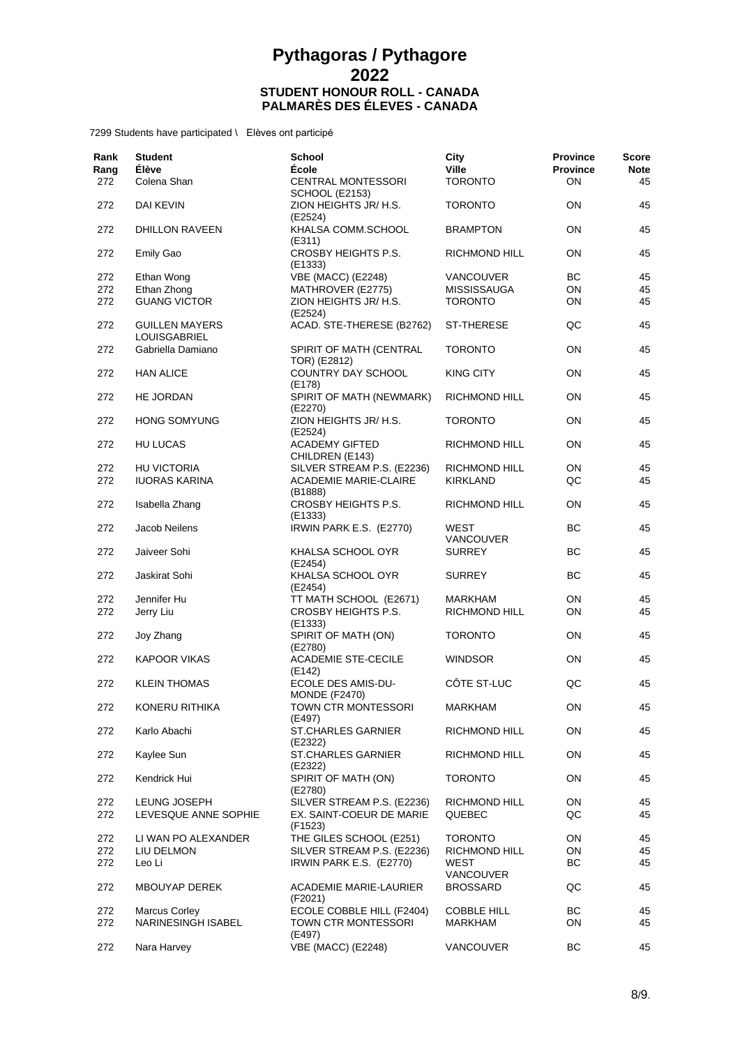| Rank<br>Rang<br>272 | <b>Student</b><br>Élève<br>Colena Shan       | <b>School</b><br><b>École</b><br><b>CENTRAL MONTESSORI</b> | City<br><b>Ville</b><br><b>TORONTO</b> | <b>Province</b><br><b>Province</b><br>ON | <b>Score</b><br><b>Note</b><br>45 |
|---------------------|----------------------------------------------|------------------------------------------------------------|----------------------------------------|------------------------------------------|-----------------------------------|
|                     |                                              | <b>SCHOOL (E2153)</b>                                      |                                        |                                          |                                   |
| 272                 | DAI KEVIN                                    | ZION HEIGHTS JR/ H.S.<br>(E2524)                           | <b>TORONTO</b>                         | ON                                       | 45                                |
| 272                 | <b>DHILLON RAVEEN</b>                        | KHALSA COMM.SCHOOL<br>(E311)                               | <b>BRAMPTON</b>                        | ON                                       | 45                                |
| 272                 | Emily Gao                                    | CROSBY HEIGHTS P.S.<br>(E1333)                             | <b>RICHMOND HILL</b>                   | ON                                       | 45                                |
| 272                 | Ethan Wong                                   | <b>VBE (MACC) (E2248)</b>                                  | <b>VANCOUVER</b>                       | BC                                       | 45                                |
| 272                 | Ethan Zhong                                  | MATHROVER (E2775)                                          | <b>MISSISSAUGA</b>                     | ON                                       | 45                                |
| 272                 | <b>GUANG VICTOR</b>                          | ZION HEIGHTS JR/ H.S.<br>(E2524)                           | <b>TORONTO</b>                         | ON                                       | 45                                |
| 272                 | <b>GUILLEN MAYERS</b><br><b>LOUISGABRIEL</b> | ACAD. STE-THERESE (B2762)                                  | <b>ST-THERESE</b>                      | QC                                       | 45                                |
| 272                 | Gabriella Damiano                            | SPIRIT OF MATH (CENTRAL<br>TOR) (E2812)                    | <b>TORONTO</b>                         | ON                                       | 45                                |
| 272                 | <b>HAN ALICE</b>                             | COUNTRY DAY SCHOOL<br>(E178)                               | <b>KING CITY</b>                       | ON                                       | 45                                |
| 272                 | HE JORDAN                                    | SPIRIT OF MATH (NEWMARK)<br>(E2270)                        | RICHMOND HILL                          | ON                                       | 45                                |
| 272                 | <b>HONG SOMYUNG</b>                          | ZION HEIGHTS JR/ H.S.                                      | <b>TORONTO</b>                         | ON                                       | 45                                |
| 272                 | HU LUCAS                                     | (E2524)<br><b>ACADEMY GIFTED</b>                           | RICHMOND HILL                          | ON                                       | 45                                |
| 272                 | <b>HU VICTORIA</b>                           | CHILDREN (E143)<br>SILVER STREAM P.S. (E2236)              | RICHMOND HILL                          | ON                                       | 45                                |
| 272                 | <b>IUORAS KARINA</b>                         | <b>ACADEMIE MARIE-CLAIRE</b>                               | <b>KIRKLAND</b>                        | QC                                       | 45                                |
|                     |                                              | (B1888)                                                    |                                        |                                          |                                   |
| 272                 | Isabella Zhang                               | CROSBY HEIGHTS P.S.<br>(E1333)                             | RICHMOND HILL                          | ON                                       | 45                                |
| 272                 | Jacob Neilens                                | IRWIN PARK E.S. (E2770)                                    | <b>WEST</b><br><b>VANCOUVER</b>        | ВC                                       | 45                                |
| 272                 | Jaiveer Sohi                                 | KHALSA SCHOOL OYR<br>(E2454)                               | <b>SURREY</b>                          | ВC                                       | 45                                |
| 272                 | Jaskirat Sohi                                | KHALSA SCHOOL OYR<br>(E2454)                               | <b>SURREY</b>                          | BС                                       | 45                                |
| 272                 | Jennifer Hu                                  | TT MATH SCHOOL (E2671)                                     | <b>MARKHAM</b>                         | ON                                       | 45                                |
| 272                 | Jerry Liu                                    | CROSBY HEIGHTS P.S.<br>(E1333)                             | RICHMOND HILL                          | ON                                       | 45                                |
| 272                 | Joy Zhang                                    | SPIRIT OF MATH (ON)<br>(E2780)                             | <b>TORONTO</b>                         | ON                                       | 45                                |
| 272                 | <b>KAPOOR VIKAS</b>                          | <b>ACADEMIE STE-CECILE</b><br>(E142)                       | <b>WINDSOR</b>                         | ON                                       | 45                                |
| 272                 | <b>KLEIN THOMAS</b>                          | ECOLE DES AMIS-DU-<br><b>MONDE (F2470)</b>                 | CÔTE ST-LUC                            | QC                                       | 45                                |
| 272                 | KONERU RITHIKA                               | TOWN CTR MONTESSORI<br>(E497)                              | <b>MARKHAM</b>                         | ON                                       | 45                                |
| 272                 | Karlo Abachi                                 | <b>ST.CHARLES GARNIER</b><br>(E2322)                       | RICHMOND HILL                          | ON                                       | 45                                |
| 272                 | Kaylee Sun                                   | ST.CHARLES GARNIER<br>(E2322)                              | RICHMOND HILL                          | ON                                       | 45                                |
| 272                 | Kendrick Hui                                 | SPIRIT OF MATH (ON)<br>(E2780)                             | <b>TORONTO</b>                         | ON                                       | 45                                |
| 272                 | LEUNG JOSEPH                                 | SILVER STREAM P.S. (E2236)                                 | RICHMOND HILL                          | ON                                       | 45                                |
| 272                 | LEVESQUE ANNE SOPHIE                         | EX. SAINT-COEUR DE MARIE<br>(F1523)                        | QUEBEC                                 | QC                                       | 45                                |
| 272                 | LI WAN PO ALEXANDER                          | THE GILES SCHOOL (E251)                                    | <b>TORONTO</b>                         | ON                                       | 45                                |
| 272                 | LIU DELMON                                   | SILVER STREAM P.S. (E2236)                                 | RICHMOND HILL                          | ON                                       | 45                                |
| 272                 | Leo Li                                       | IRWIN PARK E.S. (E2770)                                    | WEST                                   | BC                                       | 45                                |
| 272                 | MBOUYAP DEREK                                | ACADEMIE MARIE-LAURIER<br>(F2021)                          | VANCOUVER<br><b>BROSSARD</b>           | QC                                       | 45                                |
| 272                 | <b>Marcus Corley</b>                         | ECOLE COBBLE HILL (F2404)                                  | <b>COBBLE HILL</b>                     | BС                                       | 45                                |
| 272                 | NARINESINGH ISABEL                           | TOWN CTR MONTESSORI<br>(E497)                              | <b>MARKHAM</b>                         | ON                                       | 45                                |
| 272                 | Nara Harvey                                  | <b>VBE (MACC) (E2248)</b>                                  | VANCOUVER                              | BС                                       | 45                                |